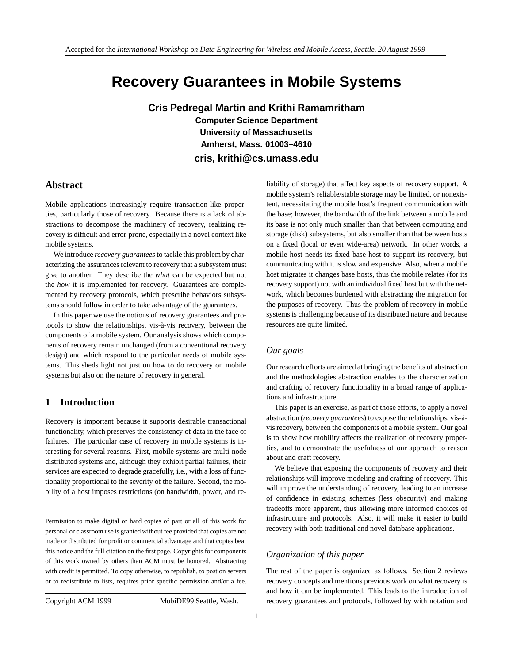# **Recovery Guarantees in Mobile Systems**

**Cris Pedregal Martin and Krithi Ramamritham Computer Science Department University of Massachusetts Amherst, Mass. 01003–4610 cris, krithi@cs.umass.edu**

# **Abstract**

Mobile applications increasingly require transaction-like properties, particularly those of recovery. Because there is a lack of abstractions to decompose the machinery of recovery, realizing recovery is difficult and error-prone, especially in a novel context like mobile systems.

We introduce *recovery guarantees*to tackle this problem by characterizing the assurances relevant to recovery that a subsystem must give to another. They describe the *what* can be expected but not the *how* it is implemented for recovery. Guarantees are complemented by recovery protocols, which prescribe behaviors subsystems should follow in order to take advantage of the guarantees.

In this paper we use the notions of recovery guarantees and protocols to show the relationships, vis-à-vis recovery, between the components of a mobile system. Our analysis shows which components of recovery remain unchanged (from a conventional recovery design) and which respond to the particular needs of mobile systems. This sheds light not just on how to do recovery on mobile systems but also on the nature of recovery in general.

# **1 Introduction**

Recovery is important because it supports desirable transactional functionality, which preserves the consistency of data in the face of failures. The particular case of recovery in mobile systems is interesting for several reasons. First, mobile systems are multi-node distributed systems and, although they exhibit partial failures, their services are expected to degrade gracefully, i.e., with a loss of functionality proportional to the severity of the failure. Second, the mobility of a host imposes restrictions (on bandwidth, power, and re-

Permission to make digital or hard copies of part or all of this work for personal or classroom use is granted without fee provided that copies are not made or distributed for profit or commercial advantage and that copies bear this notice and the full citation on the first page. Copyrights for components of this work owned by others than ACM must be honored. Abstracting with credit is permitted. To copy otherwise, to republish, to post on servers or to redistribute to lists, requires prior specific permission and/or a fee.

Copyright ACM 1999 MobiDE99 Seattle, Wash.

liability of storage) that affect key aspects of recovery support. A mobile system's reliable/stable storage may be limited, or nonexistent, necessitating the mobile host's frequent communication with the base; however, the bandwidth of the link between a mobile and its base is not only much smaller than that between computing and storage (disk) subsystems, but also smaller than that between hosts on a fixed (local or even wide-area) network. In other words, a mobile host needs its fixed base host to support its recovery, but communicating with it is slow and expensive. Also, when a mobile host migrates it changes base hosts, thus the mobile relates (for its recovery support) not with an individual fixed host but with the network, which becomes burdened with abstracting the migration for the purposes of recovery. Thus the problem of recovery in mobile systems is challenging because of its distributed nature and because resources are quite limited.

# *Our goals*

Our research efforts are aimed at bringing the benefits of abstraction and the methodologies abstraction enables to the characterization and crafting of recovery functionality in a broad range of applications and infrastructure.

This paper is an exercise, as part of those efforts, to apply a novel abstraction (*recovery guarantees*) to expose the relationships, vis-a-` vis recovery, between the components of a mobile system. Our goal is to show how mobility affects the realization of recovery properties, and to demonstrate the usefulness of our approach to reason about and craft recovery.

We believe that exposing the components of recovery and their relationships will improve modeling and crafting of recovery. This will improve the understanding of recovery, leading to an increase of confidence in existing schemes (less obscurity) and making tradeoffs more apparent, thus allowing more informed choices of infrastructure and protocols. Also, it will make it easier to build recovery with both traditional and novel database applications.

### *Organization of this paper*

The rest of the paper is organized as follows. Section 2 reviews recovery concepts and mentions previous work on what recovery is and how it can be implemented. This leads to the introduction of recovery guarantees and protocols, followed by with notation and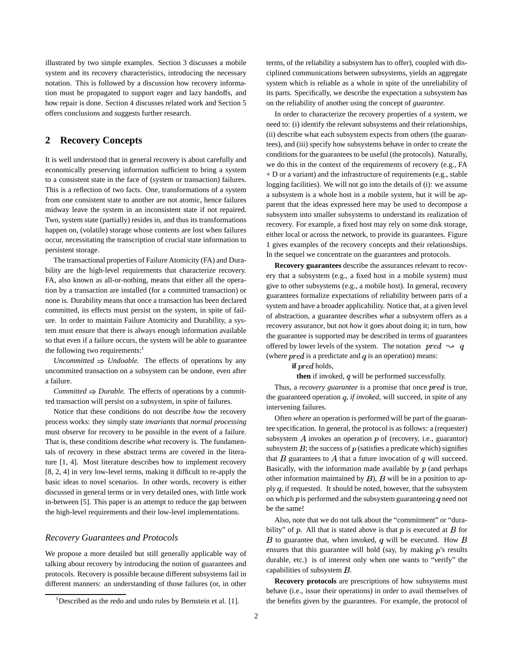illustrated by two simple examples. Section 3 discusses a mobile system and its recovery characteristics, introducing the necessary notation. This is followed by a discussion how recovery information must be propagated to support eager and lazy handoffs, and how repair is done. Section 4 discusses related work and Section 5 offers conclusions and suggests further research.

# **2 Recovery Concepts**

It is well understood that in general recovery is about carefully and economically preserving information sufficient to bring a system to a consistent state in the face of (system or transaction) failures. This is a reflection of two facts. One, transformations of a system from one consistent state to another are not atomic, hence failures midway leave the system in an inconsistent state if not repaired. Two, system state (partially) resides in, and thus its transformations happen on, (volatile) storage whose contents are lost when failures occur, necessitating the transcription of crucial state information to persistent storage.

The transactional properties of Failure Atomicity (FA) and Durability are the high-level requirements that characterize recovery. FA, also known as all-or-nothing, means that either all the operation by a transaction are installed (for a committed transaction) or none is. Durability means that once a transaction has been declared committed, its effects must persist on the system, in spite of failure. In order to maintain Failure Atomicity and Durability, a system must ensure that there is always enough information available so that even if a failure occurs, the system will be able to guarantee the following two requirements: $<sup>1</sup>$ </sup>

*Uncommitted*  $\Rightarrow$  *Undoable.* The effects of operations by any uncommited transaction on a subsystem can be undone, even after a failure.

*Committed*  $\Rightarrow$  *Durable.* The effects of operations by a committed transaction will persist on a subsystem, in spite of failures.

Notice that these conditions do not describe *how* the recovery process works: they simply state *invariants* that *normal processing* must observe for recovery to be possible in the event of a failure. That is, these conditions describe *what* recovery is. The fundamentals of recovery in these abstract terms are covered in the literature [1, 4]. Most literature describes how to implement recovery [8, 2, 4] in very low-level terms, making it difficult to re-apply the basic ideas to novel scenarios. In other words, recovery is either discussed in general terms or in very detailed ones, with little work in-between [5]. This paper is an attempt to reduce the gap between the high-level requirements and their low-level implementations.

### *Recovery Guarantees and Protocols*

We propose a more detailed but still generally applicable way of talking about recovery by introducing the notion of guarantees and protocols. Recovery is possible because different subsystems fail in different manners: an understanding of those failures (or, in other

terms, of the reliability a subsystem has to offer), coupled with disciplined communications between subsystems, yields an aggregate system which is reliable as a whole in spite of the unreliability of its parts. Specifically, we describe the expectation a subsystem has on the reliability of another using the concept of *guarantee*.

In order to characterize the recovery properties of a system, we need to: (i) identify the relevant subsystems and their relationships, (ii) describe what each subsystem expects from others (the guarantees), and (iii) specify how subsystems behave in order to create the conditions for the guarantees to be useful (the protocols). Naturally, we do this in the context of the requirements of recovery (e.g., FA + D or a variant) and the infrastructure of requirements (e.g., stable logging facilities). We will not go into the details of (i): we assume a subsystem is a whole host in a mobile system, but it will be apparent that the ideas expressed here may be used to decompose a subsystem into smaller subsystems to understand its realization of recovery. For example, a fixed host may rely on some disk storage, either local or across the network, to provide its guarantees. Figure 1 gives examples of the recovery concepts and their relationships. In the sequel we concentrate on the guarantees and protocols.

**Recovery guarantees** describe the assurances relevant to recovery that a subsystem (e.g., a fixed host in a mobile system) must give to other subsystems (e.g., a mobile host). In general, recovery guarantees formalize expectations of reliability between parts of a system and have a broader applicability. Notice that, at a given level of abstraction, a guarantee describes *what* a subsystem offers as a recovery assurance, but not *how* it goes about doing it; in turn, how the guarantee is supported may be described in terms of guarantees offered by lower levels of the system. The notation  $pred \rightarrow q$ (where  $pred$  is a predictate and q is an operation) means:

**if**  $pred$  holds,

**then** if invoked, q will be performed successfully.

Thus, a *recovery guarantee* is a promise that once *pred* is true, the guaranteed operation q, if invoked, will succeed, in spite of any intervening failures.

Often *where* an operation is performed will be part of the guarantee specification. In general, the protocol is as follows: a (requester) subsystem  $A$  invokes an operation  $p$  of (recovery, i.e., guarantor) subsystem  $B$ ; the success of  $p$  (satisfies a predicate which) signifies that  $B$  guarantees to  $A$  that a future invocation of  $q$  will succeed. Basically, with the information made available by  $p$  (and perhaps other information maintained by  $B$ ),  $B$  will be in a position to apply  $q$ , if requested. It should be noted, however, that the subsystem on which  $p$  is performed and the subsystem guaranteeing  $q$  need not be the same!

Also, note that we do not talk about the "commitment" or "durability" of  $p$ . All that is stated above is that  $p$  is executed at  $B$  for  $B$  to guarantee that, when invoked, q will be executed. How  $B$ ensures that this guarantee will hold (say, by making  $p$ 's results durable, etc.) is of interest only when one wants to "verify" the capabilities of subsystem  $B$ .

**Recovery protocols** are prescriptions of how subsystems must behave (i.e., issue their operations) in order to avail themselves of the benefits given by the guarantees. For example, the protocol of

<sup>&</sup>lt;sup>1</sup>Described as the redo and undo rules by Bernstein et al. [1].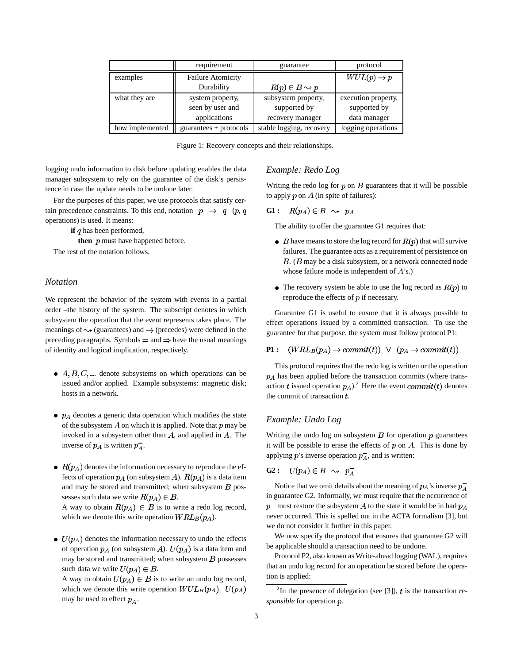|                 | requirement              | guarantee                       | protocol               |
|-----------------|--------------------------|---------------------------------|------------------------|
| examples        | <b>Failure Atomicity</b> |                                 | $WUL(p) \rightarrow p$ |
|                 | Durability               | $R(p) \in B \rightsquigarrow p$ |                        |
| what they are   | system property,         | subsystem property,             | execution property,    |
|                 | seen by user and         | supported by                    | supported by           |
|                 | applications             | recovery manager                | data manager           |
| how implemented | $guarantees + protocols$ | stable logging, recovery        | logging operations     |

Figure 1: Recovery concepts and their relationships.

logging undo information to disk before updating enables the data manager subsystem to rely on the guarantee of the disk's persistence in case the update needs to be undone later.

For the purposes of this paper, we use protocols that satisfy certain precedence constraints. To this end, notation  $p \rightarrow q$  (p, q operations) is used. It means:

**if**  $q$  has been performed,

**then**  $p$  must have happened before.

The rest of the notation follows.

# *Notation*

We represent the behavior of the system with events in a partial order –the history of the system. The subscript denotes in which subsystem the operation that the event represents takes place. The meanings of  $\sim$  (guarantees) and  $\rightarrow$  (precedes) were defined in the preceding paragraphs. Symbols  $=$  and  $\Rightarrow$  have the usual meanings of identity and logical implication, respectively.

- $A, B, C, \dots$  denote subsystems on which operations can be issued and/or applied. Example subsystems: magnetic disk; hosts in a network.
- $\bullet$   $p_A$  denotes a generic data operation which modifies the state of the subsystem  $A$  on which it is applied. Note that  $p$  may be invoked in a subsystem other than  $A$ , and applied in  $A$ . The inverse of  $p_A$  is written  $p_A^-$ .
- $\bullet$   $R(p_A)$  denotes the information necessary to reproduce the effects of operation  $p_A$  (on subsystem A).  $R(p_A)$  is a data item and may be stored and transmitted; when subsystem  $B$  possesses such data we write  $R(p_A) \in B$ .

A way to obtain  $R(p_A) \in B$  is to write a redo log record, which we denote this write operation  $WRL_B(p_A)$ .

 $\bullet$   $U(p_A)$  denotes the information necessary to undo the effects of operation  $p_A$  (on subsystem A).  $U(p_A)$  is a data item and may be stored and transmitted; when subsystem  $B$  possesses such data we write  $U(p_A) \in B$ .

A way to obtain  $U(p_A) \in B$  is to write an undo log record, which we denote this write operation  $WUL_B(p_A)$ .  $U(p_A)$ may be used to effect  $p_A^-$ .

# *Example: Redo Log*

Writing the redo log for  $p$  on  $B$  guarantees that it will be possible to apply  $p$  on  $A$  (in spite of failures):

$$
\mathbf{G1}:\quad R(p_A)\in B\;\;\leadsto\;\;p_A
$$

The ability to offer the guarantee G1 requires that:

- $\bullet$  B have means to store the log record for  $R(p)$  that will survive failures. The guarantee acts as a requirement of persistence on  $B$ . ( $B$  may be a disk subsystem, or a network connected node whose failure mode is independent of  $A$ 's.)
- The recovery system be able to use the log record as  $R(p)$  to reproduce the effects of  $p$  if necessary.

Guarantee G1 is useful to ensure that it is always possible to effect operations issued by a committed transaction. To use the guarantee for that purpose, the system must follow protocol P1:

**P1:** 
$$
(WRL_B(p_A) \rightarrow commit(t)) \vee (p_A \rightarrow commit(t))
$$

This protocol requires that the redo log is written or the operation  $p_A$  has been applied before the transaction commits (where transaction t issued operation  $p_A$ ).<sup>2</sup> Here the event commit(t) denotes the commit of transaction  $t$ .

### *Example: Undo Log*

Writing the undo log on subsystem  $B$  for operation  $p$  guarantees it will be possible to erase the effects of  $p$  on  $A$ . This is done by applying p's inverse operation  $p_A^-$ , and is written:

$$
\mathbf{G2}:\quad U(p_A)\in B\;\rightsquigarrow\; p_A^-
$$

Notice that we omit details about the meaning of  $p_A$ 's inverse  $p_A^$ in guarantee G2. Informally, we must require that the occurrence of  $p^-$  must restore the subsystem A to the state it would be in had  $p_A$ never occurred. This is spelled out in the ACTA formalism [3], but we do not consider it further in this paper.

We now specify the protocol that ensures that guarantee G2 will be applicable should a transaction need to be undone.

Protocol P2, also known as Write-ahead logging (WAL), requires that an undo log record for an operation be stored before the operation is applied:

<sup>&</sup>lt;sup>2</sup>In the presence of delegation (see [3]),  $t$  is the transaction  $re$ *sponsible* for operation  $p$ .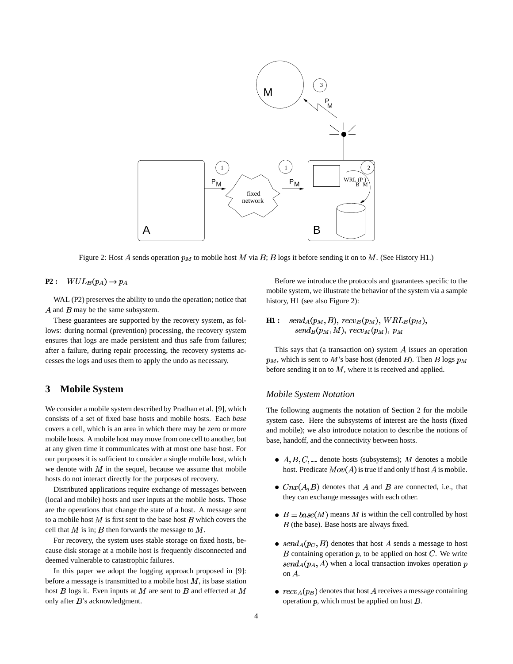

Figure 2: Host A sends operation  $p_M$  to mobile host M via B; B logs it before sending it on to M. (See History H1.)

#### $WUL_B(p_A) \rightarrow p_A$ **P2 :**

WAL (P2) preserves the ability to undo the operation; notice that  $A$  and  $B$  may be the same subsystem.

These guarantees are supported by the recovery system, as follows: during normal (prevention) processing, the recovery system ensures that logs are made persistent and thus safe from failures; after a failure, during repair processing, the recovery systems accesses the logs and uses them to apply the undo as necessary.

# **3 Mobile System**

We consider a mobile system described by Pradhan et al. [9], which consists of a set of fixed base hosts and mobile hosts. Each *base* covers a cell, which is an area in which there may be zero or more mobile hosts. A mobile host may move from one cell to another, but at any given time it communicates with at most one base host. For our purposes it is sufficient to consider a single mobile host, which we denote with  $M$  in the sequel, because we assume that mobile hosts do not interact directly for the purposes of recovery.

Distributed applications require exchange of messages between (local and mobile) hosts and user inputs at the mobile hosts. Those are the operations that change the state of a host. A message sent to a mobile host  $M$  is first sent to the base host  $B$  which covers the cell that  $M$  is in;  $B$  then forwards the message to  $M$ .

For recovery, the system uses stable storage on fixed hosts, because disk storage at a mobile host is frequently disconnected and deemed vulnerable to catastrophic failures.

In this paper we adopt the logging approach proposed in [9]: before a message is transmitted to a mobile host  $M$ , its base station host  $B$  logs it. Even inputs at  $M$  are sent to  $B$  and effected at  $M$ only after  $B$ 's acknowledgment.

Before we introduce the protocols and guarantees specific to the mobile system, we illustrate the behavior of the system via a sample history, H1 (see also Figure 2):

#### $send_A(p_M, B),$   $recv_B(p_M),$   $WRL_B(p_M),$ **H1 :**  $send_B(p_M, M),$   $recv_M(p_M), p_M$

This says that (a transaction on) system  $A$  issues an operation  $p_M$ , which is sent to M's base host (denoted B). Then B logs  $p_M$ before sending it on to  $M$ , where it is received and applied.

#### *Mobile System Notation*

The following augments the notation of Section 2 for the mobile system case. Here the subsystems of interest are the hosts (fixed and mobile); we also introduce notation to describe the notions of base, handoff, and the connectivity between hosts.

- $A, B, C, \dots$  denote hosts (subsystems); M denotes a mobile host. Predicate  $Mov(A)$  is true if and only if host A is mobile.
- $Cnx(A, B)$  denotes that A and B are connected, i.e., that they can exchange messages with each other.
- $\bullet$   $B = base(M)$  means M is within the cell controlled by host  $B$  (the base). Base hosts are always fixed.
- send $_A(p_C, B)$  denotes that host A sends a message to host  $B$  containing operation  $p$ , to be applied on host  $C$ . We write  $send_A(p_A, A)$  when a local transaction invokes operation p on  $A$ .
- $\bullet$   $recv_A(p_B)$  denotes that host A receives a message containing operation  $p$ , which must be applied on host  $B$ .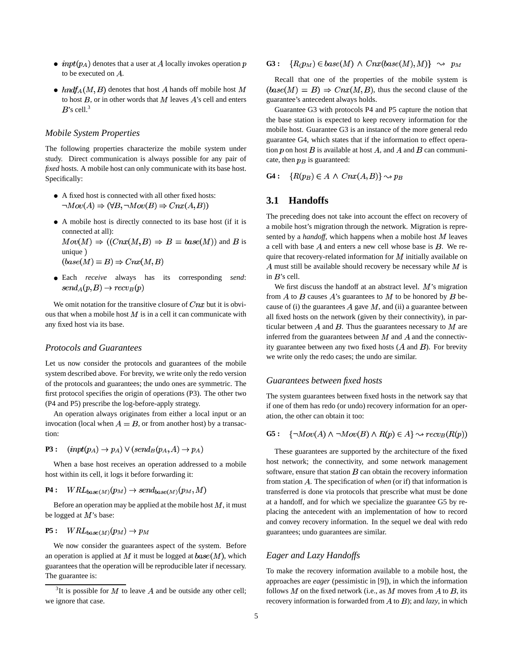- $inpt(p_A)$  denotes that a user at A locally invokes operation p to be executed on  $A$ .
- $\bullet$  hndf<sub>A</sub>(M, B) denotes that host A hands off mobile host M to host  $B$ , or in other words that  $M$  leaves  $A$ 's cell and enters  $B$ 's cell.<sup>3</sup>

### *Mobile System Properties*

The following properties characterize the mobile system under study. Direct communication is always possible for any pair of *fixed* hosts. A mobile host can only communicate with its base host. Specifically:

- A fixed host is connected with all other fixed hosts:  $\neg Mov(A) \Rightarrow (\forall B, \neg Mov(B) \Rightarrow \text{Cnx}(A, B))$
- A mobile host is directly connected to its base host (if it is connected at all):  $Mov(M) \Rightarrow ((Cnx(M,B) \Rightarrow B = base(M))$  and B is

unique)  $(base(M) = B) \Rightarrow Cnx(M, B)$ 

Each *receive* always has its corresponding *send*:  $send_A(p, B) \rightarrow recv_B(p)$ 

We omit notation for the transitive closure of  $Cnx$  but it is obvious that when a mobile host  $M$  is in a cell it can communicate with any fixed host via its base.

### *Protocols and Guarantees*

Let us now consider the protocols and guarantees of the mobile system described above. For brevity, we write only the redo version of the protocols and guarantees; the undo ones are symmetric. The first protocol specifies the origin of operations (P3). The other two (P4 and P5) prescribe the log-before-apply strategy.

An operation always originates from either a local input or an invocation (local when  $A = B$ , or from another host) by a transaction:

 $(inpt(p_A) \rightarrow p_A) \vee (send_B(p_A, A) \rightarrow p_A)$ **P3 :**

When a base host receives an operation addressed to a mobile host within its cell, it logs it before forwarding it:

 $P4: WRL_{base(M)}(p_M) \rightarrow send_{base(M)}(p_M, M)$ 

Before an operation may be applied at the mobile host  $M$ , it must be logged at  $M$ 's base:

#### $WRL_{base(M)}(p_M) \rightarrow p_M$ **P5 :**

We now consider the guarantees aspect of the system. Before an operation is applied at  $M$  it must be logged at  $base(M)$ , which guarantees that the operation will be reproducible later if necessary. The guarantee is:

#### ${R(p_M) \in base(M) \land Cnx(base(M), M)} \sim p_M$ **G3 :**

Recall that one of the properties of the mobile system is  $(base(M) = B) \Rightarrow Cnx(M, B)$ , thus the second clause of the guarantee's antecedent always holds.

Guarantee G3 with protocols P4 and P5 capture the notion that the base station is expected to keep recovery information for the mobile host. Guarantee G3 is an instance of the more general redo guarantee G4, which states that if the information to effect operation  $p$  on host  $B$  is available at host  $A$ , and  $A$  and  $B$  can communicate, then  $p_B$  is guaranteed:

**G4 :**  $\{R(p_B) \in A \land Cnx(A, B)\} \rightsquigarrow p_B$ 

# **3.1 Handoffs**

The preceding does not take into account the effect on recovery of a mobile host's migration through the network. Migration is represented by a *handoff*, which happens when a mobile host  $M$  leaves a cell with base  $A$  and enters a new cell whose base is  $B$ . We require that recovery-related information for  $M$  initially available on A must still be available should recovery be necessary while  $M$  is in  $B$ 's cell.

We first discuss the handoff at an abstract level.  $M$ 's migration from  $A$  to  $B$  causes  $A$ 's guarantees to  $M$  to be honored by  $B$  because of (i) the guarantees  $A$  gave  $M$ , and (ii) a guarantee between all fixed hosts on the network (given by their connectivity), in particular between  $A$  and  $B$ . Thus the guarantees necessary to  $M$  are inferred from the guarantees between  $M$  and  $A$  and the connectivity guarantee between any two fixed hosts  $(A \text{ and } B)$ . For brevity we write only the redo cases; the undo are similar.

#### *Guarantees between fixed hosts*

The system guarantees between fixed hosts in the network say that if one of them has redo (or undo) recovery information for an operation, the other can obtain it too:

**G5:** 
$$
\{\neg Mov(A) \land \neg Mov(B) \land R(p) \in A\} \rightsquigarrow rev_B(R(p))
$$

These guarantees are supported by the architecture of the fixed host network; the connectivity, and some network management software, ensure that station  $B$  can obtain the recovery information from station  $A$ . The specification of *when* (or if) that information is transferred is done via protocols that prescribe what must be done at a handoff, and for which we specialize the guarantee G5 by replacing the antecedent with an implementation of how to record and convey recovery information. In the sequel we deal with redo guarantees; undo guarantees are similar.

### *Eager and Lazy Handoffs*

To make the recovery information available to a mobile host, the approaches are *eager* (pessimistic in [9]), in which the information follows M on the fixed network (i.e., as M moves from A to B, its recovery information is forwarded from  $A$  to  $B$ ); and *lazy*, in which

<sup>&</sup>lt;sup>3</sup>It is possible for M to leave A and be outside any other cell; we ignore that case.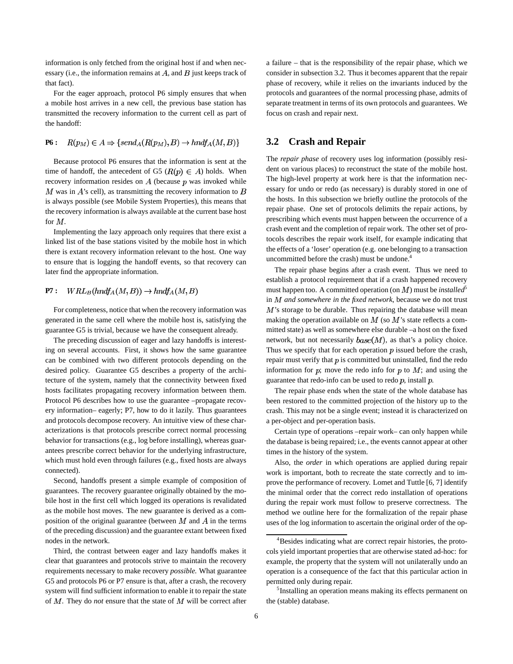information is only fetched from the original host if and when necessary (i.e., the information remains at  $A$ , and  $B$  just keeps track of that fact).

For the eager approach, protocol P6 simply ensures that when a mobile host arrives in a new cell, the previous base station has transmitted the recovery information to the current cell as part of the handoff:

$$
\mathbf{P6}:\quad R(p_M) \in A \Rightarrow \{send_A(R(p_M), B) \to hndf_A(M, B)\}\
$$

Because protocol P6 ensures that the information is sent at the time of handoff, the antecedent of G5 ( $R(p) \in A$ ) holds. When recovery information resides on  $A$  (because  $p$  was invoked while  $M$  was in  $A$ 's cell), as transmitting the recovery information to  $B$ is always possible (see Mobile System Properties), this means that the recovery information is always available at the current base host for  $M$ .

Implementing the lazy approach only requires that there exist a linked list of the base stations visited by the mobile host in which there is extant recovery information relevant to the host. One way to ensure that is logging the handoff events, so that recovery can later find the appropriate information.

#### $WRL_B(hndA(M, B)) \rightarrow hndA(M, B)$ **P7 :**

For completeness, notice that when the recovery information was generated in the same cell where the mobile host is, satisfying the guarantee G5 is trivial, because we have the consequent already.

The preceding discussion of eager and lazy handoffs is interesting on several accounts. First, it shows how the same guarantee can be combined with two different protocols depending on the desired policy. Guarantee G5 describes a property of the architecture of the system, namely that the connectivity between fixed hosts facilitates propagating recovery information between them. Protocol P6 describes how to use the guarantee –propagate recovery information– eagerly; P7, how to do it lazily. Thus guarantees and protocols decompose recovery. An intuitive view of these characterizations is that protocols prescribe correct normal processing behavior for transactions (e.g., log before installing), whereas guarantees prescribe correct behavior for the underlying infrastructure, which must hold even through failures (e.g., fixed hosts are always connected).

Second, handoffs present a simple example of composition of guarantees. The recovery guarantee originally obtained by the mobile host in the first cell which logged its operations is revalidated as the mobile host moves. The new guarantee is derived as a composition of the original guarantee (between  $M$  and  $\ddot{A}$  in the terms of the preceding discussion) and the guarantee extant between fixed nodes in the network.

Third, the contrast between eager and lazy handoffs makes it clear that guarantees and protocols strive to maintain the recovery requirements necessary to make recovery *possible*. What guarantee G5 and protocols P6 or P7 ensure is that, after a crash, the recovery system will find sufficient information to enable it to repair the state of  $M$ . They do *not* ensure that the state of  $M$  will be correct after a failure – that is the responsibility of the repair phase, which we consider in subsection 3.2. Thus it becomes apparent that the repair phase of recovery, while it relies on the invariants induced by the protocols and guarantees of the normal processing phase, admits of separate treatment in terms of its own protocols and guarantees. We focus on crash and repair next.

# **3.2 Crash and Repair**

The *repair phase* of recovery uses log information (possibly resident on various places) to reconstruct the state of the mobile host. The high-level property at work here is that the information necessary for undo or redo (as necessary) is durably stored in one of the hosts. In this subsection we briefly outline the protocols of the repair phase. One set of protocols delimits the repair actions, by prescribing which events must happen between the occurrence of a crash event and the completion of repair work. The other set of protocols describes the repair work itself, for example indicating that the effects of a 'loser' operation (e.g. one belonging to a transaction uncommitted before the crash) must be undone.<sup>4</sup>

The repair phase begins after a crash event. Thus we need to establish a protocol requirement that if a crash happened recovery must happen too. A committed operation (on  $M$ ) must be *installed*<sup>5</sup> in *and somewhere in the fixed network*, because we do not trust  $M$ 's storage to be durable. Thus repairing the database will mean making the operation available on  $M$  (so  $M$ 's state reflects a committed state) as well as somewhere else durable –a host on the fixed network, but not necessarily  $base(M)$ , as that's a policy choice. Thus we specify that for each operation  $p$  issued before the crash, repair must verify that  $p$  is committed but uninstalled, find the redo information for  $p$ ; move the redo info for  $p$  to  $M$ ; and using the guarantee that redo-info can be used to redo  $p$ , install  $p$ .

The repair phase ends when the state of the whole database has been restored to the committed projection of the history up to the crash. This may not be a single event; instead it is characterized on a per-object and per-operation basis.

Certain type of operations –repair work– can only happen while the database is being repaired; i.e., the events cannot appear at other times in the history of the system.

Also, the *order* in which operations are applied during repair work is important, both to recreate the state correctly and to improve the performance of recovery. Lomet and Tuttle [6, 7] identify the minimal order that the correct redo installation of operations during the repair work must follow to preserve correctness. The method we outline here for the formalization of the repair phase uses of the log information to ascertain the original order of the op-

<sup>4</sup>Besides indicating what are correct repair histories, the protocols yield important properties that are otherwise stated ad-hoc: for example, the property that the system will not unilaterally undo an operation is a consequence of the fact that this particular action in permitted only during repair.

<sup>&</sup>lt;sup>5</sup>Installing an operation means making its effects permanent on the (stable) database.